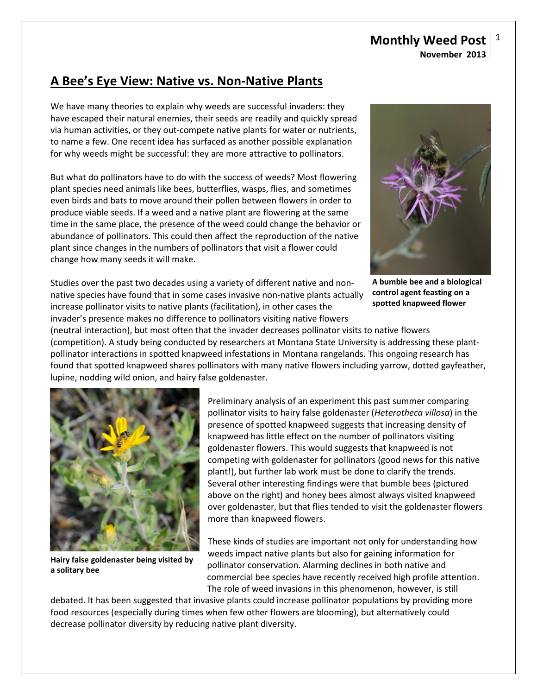## **Monthly Weed Post November 2013**

# **A Bee's Eye View: Native vs. Non-Native Plants**

We have many theories to explain why weeds are successful invaders: they have escaped their natural enemies, their seeds are readily and quickly spread via human activities, or they out-compete native plants for water or nutrients, to name a few. One recent idea has surfaced as another possible explanation for why weeds might be successful: they are more attractive to pollinators.

But what do pollinators have to do with the success of weeds? Most flowering plant species need animals like bees, butterflies, wasps, flies, and sometimes even birds and bats to move around their pollen between flowers in order to produce viable seeds. If a weed and a native plant are flowering at the same time in the same place, the presence of the weed could change the behavior or abundance of pollinators. This could then affect the reproduction of the native plant since changes in the numbers of pollinators that visit a flower could change how many seeds it will make.

Studies over the past two decades using a variety of different native and nonnative species have found that in some cases invasive non-native plants actually increase pollinator visits to native plants (facilitation), in other cases the invader's presence makes no difference to pollinators visiting native flowers

**A bumble bee and a biological control agent feasting on a spotted knapweed flower**

(neutral interaction), but most often that the invader decreases pollinator visits to native flowers (competition). A study being conducted by researchers at Montana State University is addressing these plantpollinator interactions in spotted knapweed infestations in Montana rangelands. This ongoing research has found that spotted knapweed shares pollinators with many native flowers including yarrow, dotted gayfeather, lupine, nodding wild onion, and hairy false goldenaster.



**Hairy false goldenaster being visited by a solitary bee**

Preliminary analysis of an experiment this past summer comparing pollinator visits to hairy false goldenaster (*Heterotheca villosa*) in the presence of spotted knapweed suggests that increasing density of knapweed has little effect on the number of pollinators visiting goldenaster flowers. This would suggests that knapweed is not competing with goldenaster for pollinators (good news for this native plant!), but further lab work must be done to clarify the trends. Several other interesting findings were that bumble bees (pictured above on the right) and honey bees almost always visited knapweed over goldenaster, but that flies tended to visit the goldenaster flowers more than knapweed flowers.

These kinds of studies are important not only for understanding how weeds impact native plants but also for gaining information for pollinator conservation. Alarming declines in both native and commercial bee species have recently received high profile attention. The role of weed invasions in this phenomenon, however, is still

debated. It has been suggested that invasive plants could increase pollinator populations by providing more food resources (especially during times when few other flowers are blooming), but alternatively could decrease pollinator diversity by reducing native plant diversity.

1